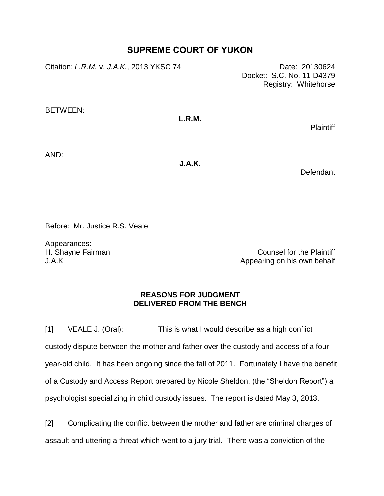# **SUPREME COURT OF YUKON**

Citation: *L.R.M.* v. *J.A.K.*, 2013 YKSC 74 Date: 20130624

Docket: S.C. No. 11-D4379 Registry: Whitehorse

BETWEEN:

## **L.R.M.**

Plaintiff

AND:

**J.A.K.**

**Defendant** 

Before: Mr. Justice R.S. Veale

Appearances: H. Shayne Fairman J.A.K

Counsel for the Plaintiff Appearing on his own behalf

### **REASONS FOR JUDGMENT DELIVERED FROM THE BENCH**

[1] VEALE J. (Oral): This is what I would describe as a high conflict custody dispute between the mother and father over the custody and access of a fouryear-old child. It has been ongoing since the fall of 2011. Fortunately I have the benefit of a Custody and Access Report prepared by Nicole Sheldon, (the "Sheldon Report") a psychologist specializing in child custody issues. The report is dated May 3, 2013.

[2] Complicating the conflict between the mother and father are criminal charges of assault and uttering a threat which went to a jury trial. There was a conviction of the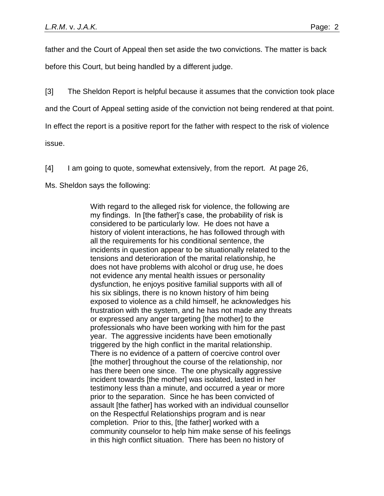father and the Court of Appeal then set aside the two convictions. The matter is back before this Court, but being handled by a different judge.

[3] The Sheldon Report is helpful because it assumes that the conviction took place

and the Court of Appeal setting aside of the conviction not being rendered at that point.

In effect the report is a positive report for the father with respect to the risk of violence

issue.

[4] I am going to quote, somewhat extensively, from the report. At page 26,

Ms. Sheldon says the following:

With regard to the alleged risk for violence, the following are my findings. In [the father]'s case, the probability of risk is considered to be particularly low. He does not have a history of violent interactions, he has followed through with all the requirements for his conditional sentence, the incidents in question appear to be situationally related to the tensions and deterioration of the marital relationship, he does not have problems with alcohol or drug use, he does not evidence any mental health issues or personality dysfunction, he enjoys positive familial supports with all of his six siblings, there is no known history of him being exposed to violence as a child himself, he acknowledges his frustration with the system, and he has not made any threats or expressed any anger targeting [the mother] to the professionals who have been working with him for the past year. The aggressive incidents have been emotionally triggered by the high conflict in the marital relationship. There is no evidence of a pattern of coercive control over [the mother] throughout the course of the relationship, nor has there been one since. The one physically aggressive incident towards [the mother] was isolated, lasted in her testimony less than a minute, and occurred a year or more prior to the separation. Since he has been convicted of assault [the father] has worked with an individual counsellor on the Respectful Relationships program and is near completion. Prior to this, [the father] worked with a community counselor to help him make sense of his feelings in this high conflict situation. There has been no history of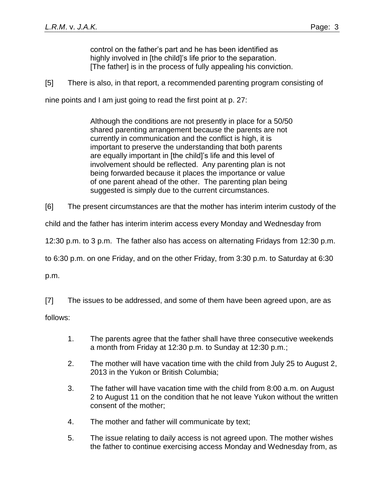control on the father's part and he has been identified as highly involved in [the child]'s life prior to the separation. [The father] is in the process of fully appealing his conviction.

[5] There is also, in that report, a recommended parenting program consisting of

nine points and I am just going to read the first point at p. 27:

Although the conditions are not presently in place for a 50/50 shared parenting arrangement because the parents are not currently in communication and the conflict is high, it is important to preserve the understanding that both parents are equally important in [the child]'s life and this level of involvement should be reflected. Any parenting plan is not being forwarded because it places the importance or value of one parent ahead of the other. The parenting plan being suggested is simply due to the current circumstances.

[6] The present circumstances are that the mother has interim interim custody of the

child and the father has interim interim access every Monday and Wednesday from

12:30 p.m. to 3 p.m. The father also has access on alternating Fridays from 12:30 p.m.

to 6:30 p.m. on one Friday, and on the other Friday, from 3:30 p.m. to Saturday at 6:30

p.m.

[7] The issues to be addressed, and some of them have been agreed upon, are as

follows:

- 1. The parents agree that the father shall have three consecutive weekends a month from Friday at 12:30 p.m. to Sunday at 12:30 p.m.;
- 2. The mother will have vacation time with the child from July 25 to August 2, 2013 in the Yukon or British Columbia;
- 3. The father will have vacation time with the child from 8:00 a.m. on August 2 to August 11 on the condition that he not leave Yukon without the written consent of the mother;
- 4. The mother and father will communicate by text;
- 5. The issue relating to daily access is not agreed upon. The mother wishes the father to continue exercising access Monday and Wednesday from, as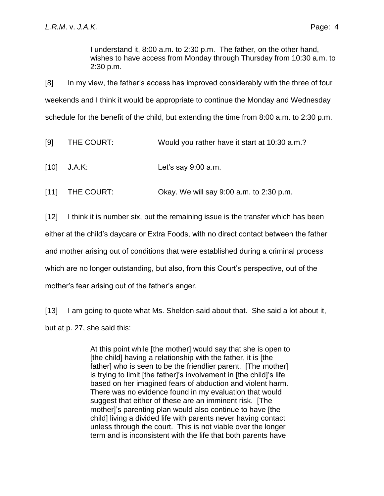I understand it, 8:00 a.m. to 2:30 p.m. The father, on the other hand, wishes to have access from Monday through Thursday from 10:30 a.m. to 2:30 p.m.

[8] In my view, the father's access has improved considerably with the three of four weekends and I think it would be appropriate to continue the Monday and Wednesday schedule for the benefit of the child, but extending the time from 8:00 a.m. to 2:30 p.m.

| [9] | THE COURT: | Would you rather have it start at 10:30 a.m.? |
|-----|------------|-----------------------------------------------|
|     |            |                                               |

- [10] J.A.K: Let's say 9:00 a.m.
- [11] THE COURT: Okay. We will say 9:00 a.m. to 2:30 p.m.

[12] I think it is number six, but the remaining issue is the transfer which has been either at the child's daycare or Extra Foods, with no direct contact between the father and mother arising out of conditions that were established during a criminal process which are no longer outstanding, but also, from this Court's perspective, out of the mother's fear arising out of the father's anger.

[13] I am going to quote what Ms. Sheldon said about that. She said a lot about it, but at p. 27, she said this:

> At this point while [the mother] would say that she is open to [the child] having a relationship with the father, it is [the father] who is seen to be the friendlier parent. [The mother] is trying to limit [the father]'s involvement in [the child]'s life based on her imagined fears of abduction and violent harm. There was no evidence found in my evaluation that would suggest that either of these are an imminent risk. [The mother]'s parenting plan would also continue to have [the child] living a divided life with parents never having contact unless through the court. This is not viable over the longer term and is inconsistent with the life that both parents have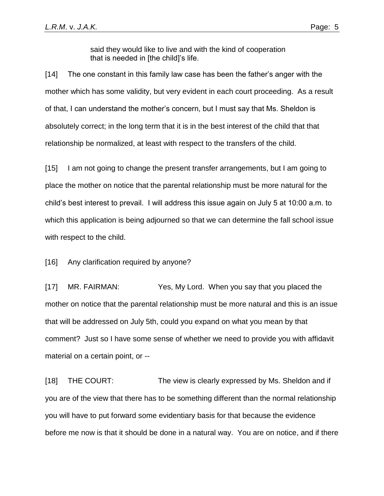said they would like to live and with the kind of cooperation that is needed in [the child]'s life.

[14] The one constant in this family law case has been the father's anger with the mother which has some validity, but very evident in each court proceeding. As a result of that, I can understand the mother's concern, but I must say that Ms. Sheldon is absolutely correct; in the long term that it is in the best interest of the child that that relationship be normalized, at least with respect to the transfers of the child.

[15] I am not going to change the present transfer arrangements, but I am going to place the mother on notice that the parental relationship must be more natural for the child's best interest to prevail. I will address this issue again on July 5 at 10:00 a.m. to which this application is being adjourned so that we can determine the fall school issue with respect to the child.

[16] Any clarification required by anyone?

[17] MR. FAIRMAN: Yes, My Lord. When you say that you placed the mother on notice that the parental relationship must be more natural and this is an issue that will be addressed on July 5th, could you expand on what you mean by that comment? Just so I have some sense of whether we need to provide you with affidavit material on a certain point, or --

[18] THE COURT: The view is clearly expressed by Ms. Sheldon and if you are of the view that there has to be something different than the normal relationship you will have to put forward some evidentiary basis for that because the evidence before me now is that it should be done in a natural way. You are on notice, and if there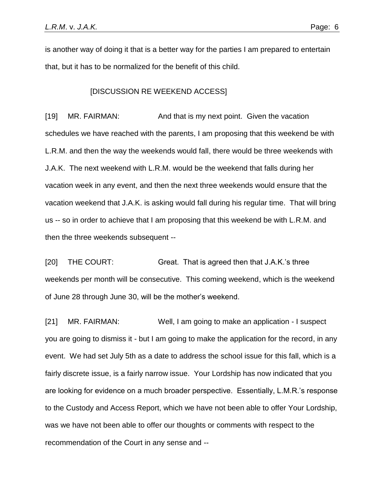is another way of doing it that is a better way for the parties I am prepared to entertain that, but it has to be normalized for the benefit of this child.

#### [DISCUSSION RE WEEKEND ACCESS]

[19] MR. FAIRMAN: And that is my next point. Given the vacation schedules we have reached with the parents, I am proposing that this weekend be with L.R.M. and then the way the weekends would fall, there would be three weekends with J.A.K. The next weekend with L.R.M. would be the weekend that falls during her vacation week in any event, and then the next three weekends would ensure that the vacation weekend that J.A.K. is asking would fall during his regular time. That will bring us -- so in order to achieve that I am proposing that this weekend be with L.R.M. and then the three weekends subsequent --

[20] THE COURT: Great. That is agreed then that J.A.K.'s three weekends per month will be consecutive. This coming weekend, which is the weekend of June 28 through June 30, will be the mother's weekend.

[21] MR. FAIRMAN: Well, I am going to make an application - I suspect you are going to dismiss it - but I am going to make the application for the record, in any event. We had set July 5th as a date to address the school issue for this fall, which is a fairly discrete issue, is a fairly narrow issue. Your Lordship has now indicated that you are looking for evidence on a much broader perspective. Essentially, L.M.R.'s response to the Custody and Access Report, which we have not been able to offer Your Lordship, was we have not been able to offer our thoughts or comments with respect to the recommendation of the Court in any sense and --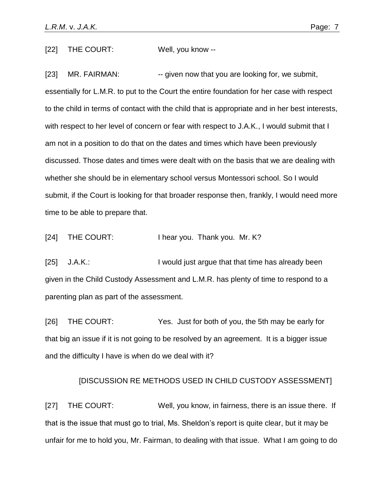[22] THE COURT: Well, you know --

[23] MR. FAIRMAN: - -- given now that you are looking for, we submit, essentially for L.M.R. to put to the Court the entire foundation for her case with respect to the child in terms of contact with the child that is appropriate and in her best interests, with respect to her level of concern or fear with respect to J.A.K., I would submit that I am not in a position to do that on the dates and times which have been previously discussed. Those dates and times were dealt with on the basis that we are dealing with whether she should be in elementary school versus Montessori school. So I would submit, if the Court is looking for that broader response then, frankly, I would need more time to be able to prepare that.

[24] THE COURT: I hear you. Thank you. Mr. K?

[25] J.A.K.: I would just argue that that time has already been given in the Child Custody Assessment and L.M.R. has plenty of time to respond to a parenting plan as part of the assessment.

[26] THE COURT: Yes. Just for both of you, the 5th may be early for that big an issue if it is not going to be resolved by an agreement. It is a bigger issue and the difficulty I have is when do we deal with it?

## [DISCUSSION RE METHODS USED IN CHILD CUSTODY ASSESSMENT]

[27] THE COURT: Well, you know, in fairness, there is an issue there. If that is the issue that must go to trial, Ms. Sheldon's report is quite clear, but it may be unfair for me to hold you, Mr. Fairman, to dealing with that issue. What I am going to do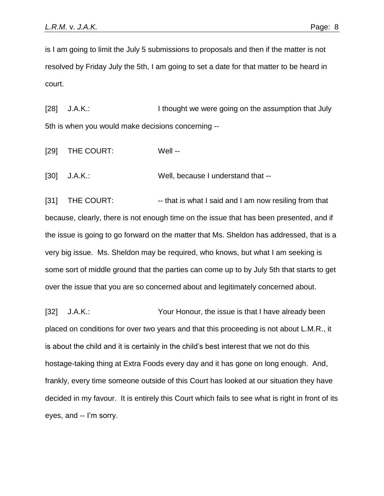is I am going to limit the July 5 submissions to proposals and then if the matter is not resolved by Friday July the 5th, I am going to set a date for that matter to be heard in court.

[28] J.A.K.: I thought we were going on the assumption that July 5th is when you would make decisions concerning --

[29] THE COURT: Well --

[30] J.A.K.: Well, because I understand that --

[31] THE COURT: -- that is what I said and I am now resiling from that because, clearly, there is not enough time on the issue that has been presented, and if the issue is going to go forward on the matter that Ms. Sheldon has addressed, that is a very big issue. Ms. Sheldon may be required, who knows, but what I am seeking is some sort of middle ground that the parties can come up to by July 5th that starts to get over the issue that you are so concerned about and legitimately concerned about.

[32] J.A.K.: Your Honour, the issue is that I have already been placed on conditions for over two years and that this proceeding is not about L.M.R., it is about the child and it is certainly in the child's best interest that we not do this hostage-taking thing at Extra Foods every day and it has gone on long enough. And, frankly, every time someone outside of this Court has looked at our situation they have decided in my favour. It is entirely this Court which fails to see what is right in front of its eyes, and -- I'm sorry.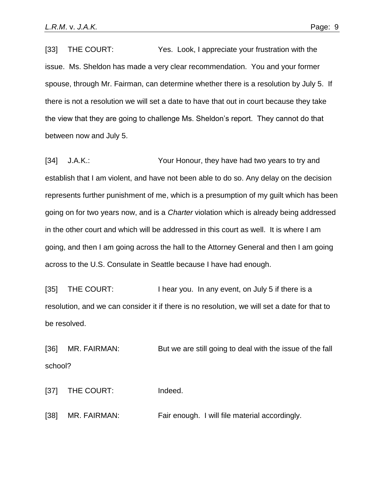[33] THE COURT: Yes. Look, I appreciate your frustration with the issue. Ms. Sheldon has made a very clear recommendation. You and your former spouse, through Mr. Fairman, can determine whether there is a resolution by July 5. If there is not a resolution we will set a date to have that out in court because they take the view that they are going to challenge Ms. Sheldon's report. They cannot do that between now and July 5.

[34] J.A.K.: Your Honour, they have had two years to try and establish that I am violent, and have not been able to do so. Any delay on the decision represents further punishment of me, which is a presumption of my guilt which has been going on for two years now, and is a *Charter* violation which is already being addressed in the other court and which will be addressed in this court as well. It is where I am going, and then I am going across the hall to the Attorney General and then I am going across to the U.S. Consulate in Seattle because I have had enough.

[35] THE COURT: I hear you. In any event, on July 5 if there is a resolution, and we can consider it if there is no resolution, we will set a date for that to be resolved.

[36] MR. FAIRMAN: But we are still going to deal with the issue of the fall school?

[37] THE COURT: Indeed.

[38] MR. FAIRMAN: Fair enough. I will file material accordingly.